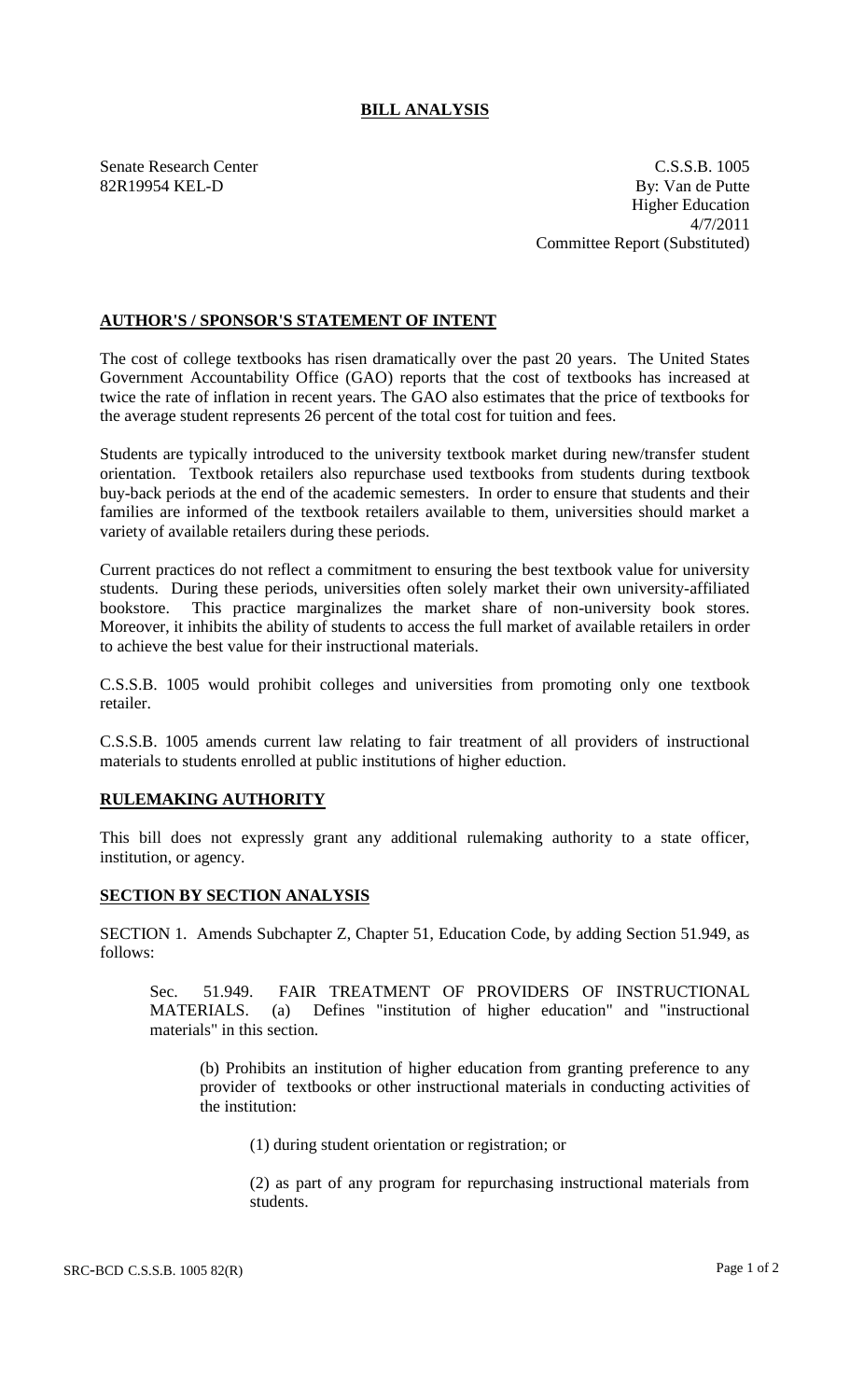## **BILL ANALYSIS**

Senate Research Center C.S.S.B. 1005 82R19954 KEL-D By: Van de Putte Higher Education 4/7/2011 Committee Report (Substituted)

## **AUTHOR'S / SPONSOR'S STATEMENT OF INTENT**

The cost of college textbooks has risen dramatically over the past 20 years. The United States Government Accountability Office (GAO) reports that the cost of textbooks has increased at twice the rate of inflation in recent years. The GAO also estimates that the price of textbooks for the average student represents 26 percent of the total cost for tuition and fees.

Students are typically introduced to the university textbook market during new/transfer student orientation. Textbook retailers also repurchase used textbooks from students during textbook buy-back periods at the end of the academic semesters. In order to ensure that students and their families are informed of the textbook retailers available to them, universities should market a variety of available retailers during these periods.

Current practices do not reflect a commitment to ensuring the best textbook value for university students. During these periods, universities often solely market their own university-affiliated bookstore. This practice marginalizes the market share of non-university book stores. Moreover, it inhibits the ability of students to access the full market of available retailers in order to achieve the best value for their instructional materials.

C.S.S.B. 1005 would prohibit colleges and universities from promoting only one textbook retailer.

C.S.S.B. 1005 amends current law relating to fair treatment of all providers of instructional materials to students enrolled at public institutions of higher eduction.

## **RULEMAKING AUTHORITY**

This bill does not expressly grant any additional rulemaking authority to a state officer, institution, or agency.

## **SECTION BY SECTION ANALYSIS**

SECTION 1. Amends Subchapter Z, Chapter 51, Education Code, by adding Section 51.949, as follows:

Sec. 51.949. FAIR TREATMENT OF PROVIDERS OF INSTRUCTIONAL MATERIALS. (a) Defines "institution of higher education" and "instructional (a) Defines "institution of higher education" and "instructional" materials" in this section.

(b) Prohibits an institution of higher education from granting preference to any provider of textbooks or other instructional materials in conducting activities of the institution:

(1) during student orientation or registration; or

(2) as part of any program for repurchasing instructional materials from students.